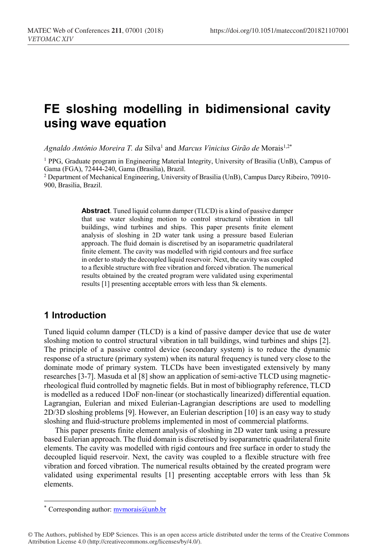# **FE sloshing modelling in bidimensional cavity using wave equation**

Agnaldo Antônio Moreira T. da Silva<sup>1</sup> and *Marcus Vinicius Girão de* Morais<sup>1,2\*</sup>

<sup>1</sup> PPG, Graduate program in Engineering Material Integrity, University of Brasilia (UnB), Campus of Gama (FGA), 72444-240, Gama (Brasilia), Brazil.

<sup>2</sup> Department of Mechanical Engineering, University of Brasilia (UnB), Campus Darcy Ribeiro, 70910- 900, Brasilia, Brazil.

> **Abstract**. Tuned liquid column damper (TLCD) is a kind of passive damper that use water sloshing motion to control structural vibration in tall buildings, wind turbines and ships. This paper presents finite element analysis of sloshing in 2D water tank using a pressure based Eulerian approach. The fluid domain is discretised by an isoparametric quadrilateral finite element. The cavity was modelled with rigid contours and free surface in order to study the decoupled liquid reservoir. Next, the cavity was coupled to a flexible structure with free vibration and forced vibration. The numerical results obtained by the created program were validated using experimental results [1] presenting acceptable errors with less than 5k elements.

# **1 Introduction**

Tuned liquid column damper (TLCD) is a kind of passive damper device that use de water sloshing motion to control structural vibration in tall buildings, wind turbines and ships [2]. The principle of a passive control device (secondary system) is to reduce the dynamic response of a structure (primary system) when its natural frequency is tuned very close to the dominate mode of primary system. TLCDs have been investigated extensively by many researches [3-7]. Masuda et al [8] show an application of semi-active TLCD using magneticrheological fluid controlled by magnetic fields. But in most of bibliography reference, TLCD is modelled as a reduced 1DoF non-linear (or stochastically linearized) differential equation. Lagrangian, Eulerian and mixed Eulerian-Lagrangian descriptions are used to modelling 2D/3D sloshing problems [9]. However, an Eulerian description [10] is an easy way to study sloshing and fluid-structure problems implemented in most of commercial platforms.

This paper presents finite element analysis of sloshing in 2D water tank using a pressure based Eulerian approach. The fluid domain is discretised by isoparametric quadrilateral finite elements. The cavity was modelled with rigid contours and free surface in order to study the decoupled liquid reservoir. Next, the cavity was coupled to a flexible structure with free vibration and forced vibration. The numerical results obtained by the created program were validated using experimental results [1] presenting acceptable errors with less than 5k elements.

 $\overline{a}$ 

<sup>\*</sup> Corresponding author:  $\frac{m \cdot \text{m} \cdot \text{m}}{m \cdot \text{m} \cdot \text{m} \cdot \text{m} \cdot \text{m} \cdot \text{m} \cdot \text{m}}$ 

<sup>©</sup> The Authors, published by EDP Sciences. This is an open access article distributed under the terms of the Creative Commons Attribution License 4.0 (http://creativecommons.org/licenses/by/4.0/).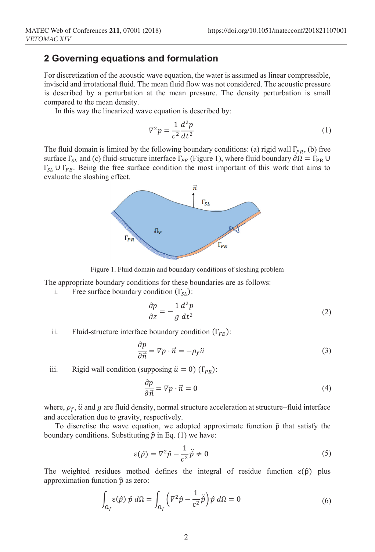# **2 Governing equations and formulation**

For discretization of the acoustic wave equation, the water is assumed as linear compressible, inviscid and irrotational fluid. The mean fluid flow was not considered. The acoustic pressure is described by a perturbation at the mean pressure. The density perturbation is small compared to the mean density.

In this way the linearized wave equation is described by:

$$
\nabla^2 p = \frac{1}{c^2} \frac{d^2 p}{dt^2} \tag{1}
$$

The fluid domain is limited by the following boundary conditions: (a) rigid wall  $\Gamma_{PR}$ , (b) free surface  $\Gamma_{SL}$  and (c) fluid-structure interface  $\Gamma_{FE}$  (Figure 1), where fluid boundary  $\partial \Omega = \Gamma_{PR} \cup$  $\Gamma_{SL}$  U  $\Gamma_{FE}$ . Being the free surface condition the most important of this work that aims to evaluate the sloshing effect.



Figure 1. Fluid domain and boundary conditions of sloshing problem

The appropriate boundary conditions for these boundaries are as follows:

i. Free surface boundary condition  $(\Gamma_{SL})$ :

$$
\frac{\partial p}{\partial z} = -\frac{1}{g} \frac{d^2 p}{dt^2} \tag{2}
$$

ii. Fluid-structure interface boundary condition  $(\Gamma_{FE})$ :

$$
\frac{\partial p}{\partial \vec{n}} = \nabla p \cdot \vec{n} = -\rho_f \vec{u}
$$
\n(3)

iii. Rigid wall condition (supposing  $\ddot{u} = 0$ ) (Γ<sub>PR</sub>):

$$
\frac{\partial p}{\partial \vec{n}} = \nabla p \cdot \vec{n} = 0 \tag{4}
$$

where,  $\rho_f$ ,  $\ddot{u}$  and  $g$  are fluid density, normal structure acceleration at structure–fluid interface and acceleration due to gravity, respectively.

To discretise the wave equation, we adopted approximate function  $\hat{p}$  that satisfy the boundary conditions. Substituting  $\hat{p}$  in Eq. (1) we have:

$$
\varepsilon(\hat{p}) = \nabla^2 \hat{p} - \frac{1}{c^2} \ddot{p} \neq 0 \tag{5}
$$

The weighted residues method defines the integral of residue function  $\varepsilon(\hat{p})$  plus approximation function  $\hat{p}$  as zero:

$$
\int_{\Omega_f} \varepsilon(\hat{p}) \; \hat{p} \; d\Omega = \int_{\Omega_f} \left( \nabla^2 \hat{p} - \frac{1}{c^2} \ddot{\hat{p}} \right) \hat{p} \; d\Omega = 0 \tag{6}
$$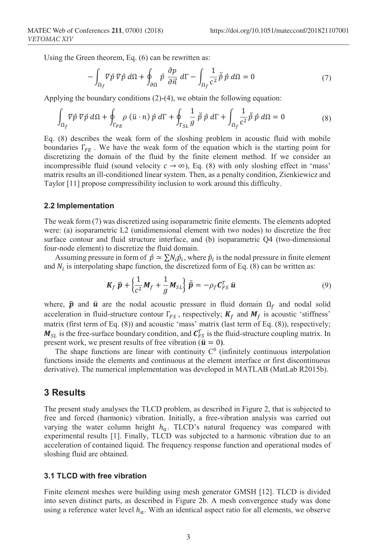Using the Green theorem, Eq. (6) can be rewritten as:

$$
-\int_{\Omega_f} \nabla \hat{p} \nabla \hat{p} \, d\Omega + \oint_{\partial \Omega} \hat{p} \, \frac{\partial p}{\partial \vec{n}} \, d\Gamma - \int_{\Omega_f} \frac{1}{c^2} \ddot{p} \, \hat{p} \, d\Omega = 0 \tag{7}
$$

Applying the boundary conditions (2)-(4), we obtain the following equation:

$$
\int_{\Omega_f} \nabla \hat{p} \nabla \hat{p} \, d\Omega + \oint_{\Gamma_{FE}} \rho \left( \ddot{u} \cdot n \right) \hat{p} \, d\Gamma + \oint_{\Gamma_{SL}} \frac{1}{g} \, \ddot{p} \, \hat{p} \, d\Gamma + \int_{\Omega_f} \frac{1}{c^2} \ddot{p} \, \hat{p} \, d\Omega = 0 \tag{8}
$$

Eq. (8) describes the weak form of the sloshing problem in acoustic fluid with mobile boundaries  $\Gamma_{FE}$ . We have the weak form of the equation which is the starting point for discretizing the domain of the fluid by the finite element method. If we consider an incompressible fluid (sound velocity  $c \to \infty$ ), Eq. (8) with only sloshing effect in 'mass' matrix results an ill-conditioned linear system. Then, as a penalty condition, Zienkiewicz and Taylor [11] propose compressibility inclusion to work around this difficulty.

#### **2.2 Implementation**

The weak form (7) was discretized using isoparametric finite elements. The elements adopted were: (a) isoparametric L2 (unidimensional element with two nodes) to discretize the free surface contour and fluid structure interface, and (b) isoparametric Q4 (two-dimensional four-node element) to discretize the fluid domain.

Assuming pressure in form of  $\hat{p} \simeq \sum N_i \hat{p}_i$ , where  $\hat{p}_i$  is the nodal pressure in finite element and  $N_i$  is interpolating shape function, the discretized form of Eq. (8) can be written as:

$$
\boldsymbol{K}_{f} \ \hat{\boldsymbol{p}} + \left\{ \frac{1}{c^{2}} \boldsymbol{M}_{f} + \frac{1}{g} \boldsymbol{M}_{SL} \right\} \ddot{\hat{\boldsymbol{p}}} = -\rho_{f} \boldsymbol{C}_{FS}^{T} \ \boldsymbol{u}
$$
\n<sup>(9)</sup>

where,  $\hat{p}$  and  $\hat{u}$  are the nodal acoustic pressure in fluid domain  $\Omega_f$  and nodal solid acceleration in fluid-structure contour  $\Gamma_{FS}$ , respectively;  $K_f$  and  $M_f$  is acoustic 'stiffness' matrix (first term of Eq. (8)) and acoustic 'mass' matrix (last term of Eq. (8)), respectively;  $M_{SL}$  is the free-surface boundary condition, and  $C_{FS}^T$  is the fluid-structure coupling matrix. In present work, we present results of free vibration ( $\ddot{u} = 0$ ).

The shape functions are linear with continuity  $C^0$  (infinitely continuous interpolation functions inside the elements and continuous at the element interface or first discontinuous derivative). The numerical implementation was developed in MATLAB (MatLab R2015b).

### **3 Results**

The present study analyses the TLCD problem, as described in Figure 2, that is subjected to free and forced (harmonic) vibration. Initially, a free-vibration analysis was carried out varying the water column height  $h_a$ . TLCD's natural frequency was compared with experimental results [1]. Finally, TLCD was subjected to a harmonic vibration due to an acceleration of contained liquid. The frequency response function and operational modes of sloshing fluid are obtained.

#### **3.1 TLCD with free vibration**

Finite element meshes were building using mesh generator GMSH [12]. TLCD is divided into seven distinct parts, as described in Figure 2b. A mesh convergence study was done using a reference water level  $h_a$ . With an identical aspect ratio for all elements, we observe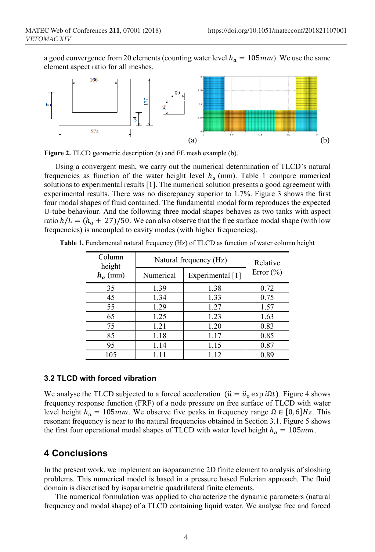a good convergence from 20 elements (counting water level  $h_q = 105$  mm). We use the same element aspect ratio for all meshes.



**Figure 2.** TLCD geometric description (a) and FE mesh example (b).

Using a convergent mesh, we carry out the numerical determination of TLCD's natural frequencies as function of the water height level  $h_a$  (mm). Table 1 compare numerical solutions to experimental results [1]. The numerical solution presents a good agreement with experimental results. There was no discrepancy superior to 1.7%. Figure 3 shows the first four modal shapes of fluid contained. The fundamental modal form reproduces the expected U-tube behaviour. And the following three modal shapes behaves as two tanks with aspect ratio  $h/L = (h_a + 27)/50$ . We can also observe that the free surface modal shape (with low frequencies) is uncoupled to cavity modes (with higher frequencies).

| Column<br>height<br>$h_a$ (mm) | Natural frequency (Hz) |                  | Relative      |
|--------------------------------|------------------------|------------------|---------------|
|                                | Numerical              | Experimental [1] | Error $(\% )$ |
| 35                             | 1.39                   | 1.38             | 0.72          |
| 45                             | 1.34                   | 1.33             | 0.75          |
| 55                             | 1.29                   | 1.27             | 1.57          |
| 65                             | 1.25                   | 1.23             | 1.63          |
| 75                             | 1.21                   | 1.20             | 0.83          |
| 85                             | 1.18                   | 1.17             | 0.85          |
| 95                             | 1.14                   | 1.15             | 0.87          |
| 105                            | 1.11                   | 1.12             | 0.89          |

**Table 1.** Fundamental natural frequency (Hz) of TLCD as function of water column height

### **3.2 TLCD with forced vibration**

We analyse the TLCD subjected to a forced acceleration ( $\ddot{u} = \ddot{u}_o \exp i\Omega t$ ). Figure 4 shows frequency response function (FRF) of a node pressure on free surface of TLCD with water level height  $h_a = 105$ mm. We observe five peaks in frequency range  $\Omega \in [0, 6]$ Hz. This resonant frequency is near to the natural frequencies obtained in Section 3.1. Figure 5 shows the first four operational modal shapes of TLCD with water level height  $h_a = 105$ mm.

# **4 Conclusions**

In the present work, we implement an isoparametric 2D finite element to analysis of sloshing problems. This numerical model is based in a pressure based Eulerian approach. The fluid domain is discretised by isoparametric quadrilateral finite elements.

The numerical formulation was applied to characterize the dynamic parameters (natural frequency and modal shape) of a TLCD containing liquid water. We analyse free and forced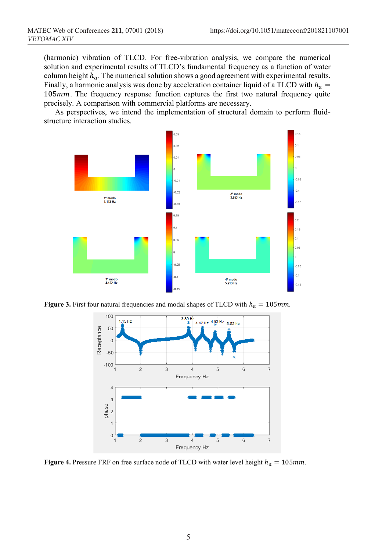(harmonic) vibration of TLCD. For free-vibration analysis, we compare the numerical solution and experimental results of TLCD's fundamental frequency as a function of water column height  $h_a$ . The numerical solution shows a good agreement with experimental results. Finally, a harmonic analysis was done by acceleration container liquid of a TLCD with  $h_a =$ 105mm. The frequency response function captures the first two natural frequency quite precisely. A comparison with commercial platforms are necessary.

As perspectives, we intend the implementation of structural domain to perform fluidstructure interaction studies.



**Figure 3.** First four natural frequencies and modal shapes of TLCD with  $h_a = 105$  mm.



**Figure 4.** Pressure FRF on free surface node of TLCD with water level height  $h_a = 105$ mm.